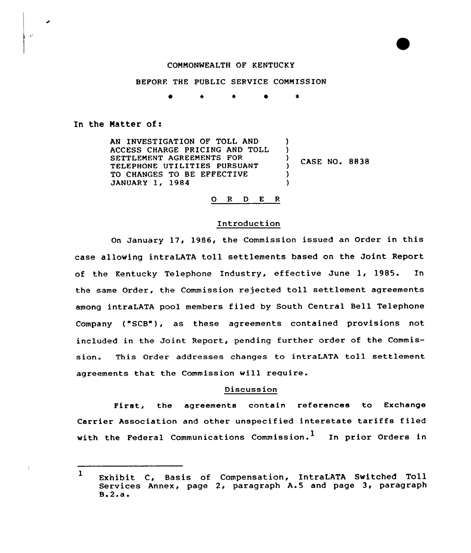### COMMONWEALTH OF KENTUCKY

#### BEFORE THE PUBLIC SERVICE COMMISSION

0 \* \* 0 \*

#### In the Natter of:

 $\ddot{\phantom{a}}$ 

AN INVESTIGATION OF TOLL AND  $\lambda$ ACCESS CHARGE PRICING AND TOLL  $\left\{ \right\}$ SETTLEMENT AGREEMENTS FOR CASE NO. 8838 TELEPHONE UTILITIES PURSUANT  $\mathcal{L}$ TO CHANGES TO BE EFFECTIVE  $\lambda$ JANUARY 1, 1984 )

# 0 <sup>R</sup> <sup>D</sup> E <sup>R</sup>

### Introduction

On January 17, 1986, the Commission issued an Order in this case allowing intraLATA toll settlements based on the Joint Report of the Kentucky Telephone Industry, effective June 1, 1985. In the same Order, the Commission rejected toll settlement agreements among intraLATA pool members filed by South Central Bell Telephone Company ("SCB"), as these agreements contained provisions not included in the Joint Report, pending further order of the Commission. This Order addresses changes to intraLATA toll settlement agreements that the Commission will require.

## Discussion

First, the agreements contain references to Exchange Carrier Association and other unspecified interstate tariffs filed with the Federal Communications Commission.<sup>1</sup> In prior Orders in

<sup>1</sup> Exnibit C, Basis of Compensation, IntraLATA Switched Toll Services Annex, page 2, paragraph A.5 and page 3, paragraph ' $\mathbf{B}$ .2.a.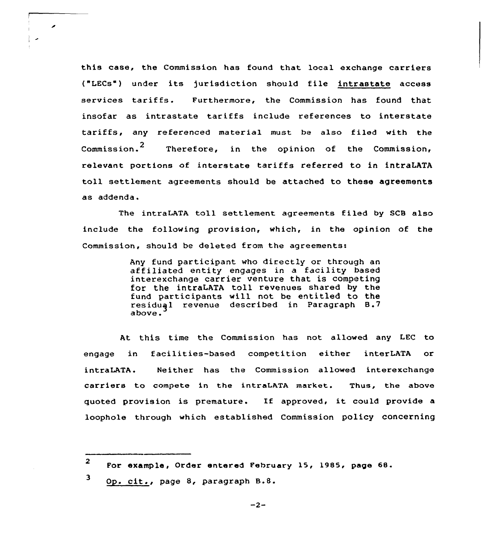this case, the Commission has found that local exchange carriers ("LECs") under its )urisdiction should file intrastate access services tariffs. Furthermore, the Commission has found that insofar as intrastate tariffs include references to interstate tariffs, any referenced material must be also filed with the Commission.<sup>2</sup> Therefore, in the opinion of the Commission, relevant portions of interstate tariffs referred to in intraLATA toll settlement agreements should be attached to these agreements as addenda.

The intraLATA toll settlement agreements filed by SCB also include the following provision, which, in the opinion of the Commission, should be deleted from the agreements:

> Any fund participant who directly or through an affiliated entity engages in a facility based interexchange carrier venture that is competing for the intraLATA toll revenues shared by the fund participants will not be entitled to the residuql revenue described in Paragraph B.7 above.

At this time the Commission has not allowed any LEC to engage in facilities-based competition either interLATA or intraLATA. Neither has the Commission allowed interexchange carriers to compete in the intraLATA market. Thus, the above quoted provision is premature. If approved, it could provide a loophole through which established Commission policy concerning

◢

<sup>2</sup> For example, Order entered February 15, 1985, page 68.

<sup>3</sup> Op. cit., page 8, paragraph B.8.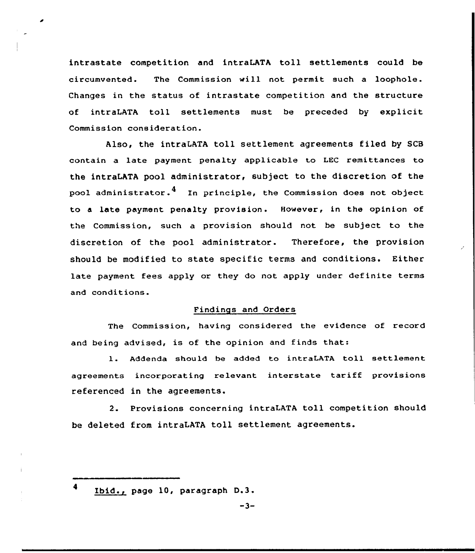intrastate competition and intraLATA toll settlements could be circumvented. The Commission vill not permit such <sup>a</sup> loophole. Changes in the status of intrastate competition and the structure of intraLATA toll settlements must be preceded by explicit Commission consideration.

Also, the intraLATA toll settlement agreements filed by SCB contain a late payment penalty applicable to LEG remittances to the intraLATA pool administrator, subject to the discretion of the pool administrator. $4\quad$  In principle, the Commission does not object to a late payment penalty provision. However, in the opinion of the Commission, such a provision should not be subject to the discretion of the pool administrator. Therefore, the provision should be modified to state specific terms and conditions. Either late payment fees apply or they do not apply under definite terms and conditions.

# Findings and Orders

The Commission, having considered the evidence of record and being advised, is of the opinion and finds that:

l. Addenda should be added to intraLATA toll settlement agreements incorporating relevant interstate tariff provisions referenced in the agreements.

2. Provisions concerning intraLATA toll competition should be deleted from intraLATA toll settlement agreements.

 $-3-$ 

<sup>4</sup> Ibid., page 10, paragraph D.3.